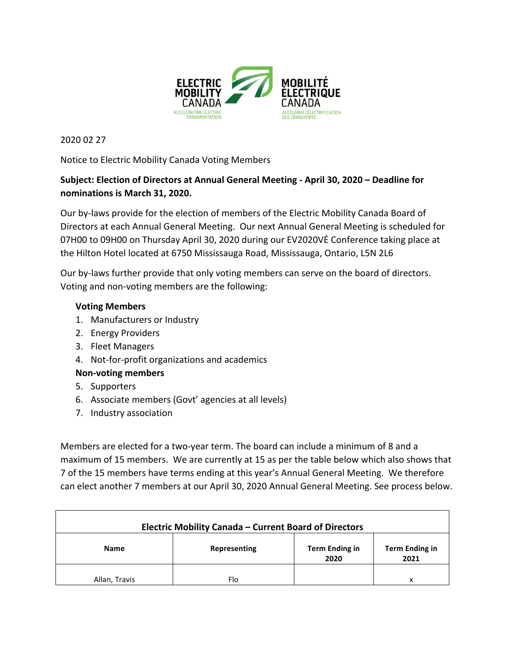

2020 02 27

Notice to Electric Mobility Canada Voting Members

## Subject: Election of Directors at Annual General Meeting - April 30, 2020 - Deadline for **nominations is March 31, 2020.**

Our by-laws provide for the election of members of the Electric Mobility Canada Board of Directors at each Annual General Meeting. Our next Annual General Meeting is scheduled for 07H00 to 09H00 on Thursday April 30, 2020 during our EV2020VE Conference taking place at the Hilton Hotel located at 6750 Mississauga Road, Mississauga, Ontario, L5N 2L6

Our by-laws further provide that only voting members can serve on the board of directors. Voting and non-voting members are the following:

## **Voting Members**

- 1. Manufacturers or Industry
- 2. Energy Providers
- 3. Fleet Managers
- 4. Not-for-profit organizations and academics

## **Non-voting members**

- 5. Supporters
- 6. Associate members (Govt' agencies at all levels)
- 7. Industry association

Members are elected for a two-year term. The board can include a minimum of 8 and a maximum of 15 members. We are currently at 15 as per the table below which also shows that 7 of the 15 members have terms ending at this year's Annual General Meeting. We therefore can elect another 7 members at our April 30, 2020 Annual General Meeting. See process below.

| <b>Electric Mobility Canada - Current Board of Directors</b> |              |                               |                        |  |
|--------------------------------------------------------------|--------------|-------------------------------|------------------------|--|
| <b>Name</b>                                                  | Representing | <b>Term Ending in</b><br>2020 | Term Ending in<br>2021 |  |
| Allan, Travis                                                | Flo          |                               | x                      |  |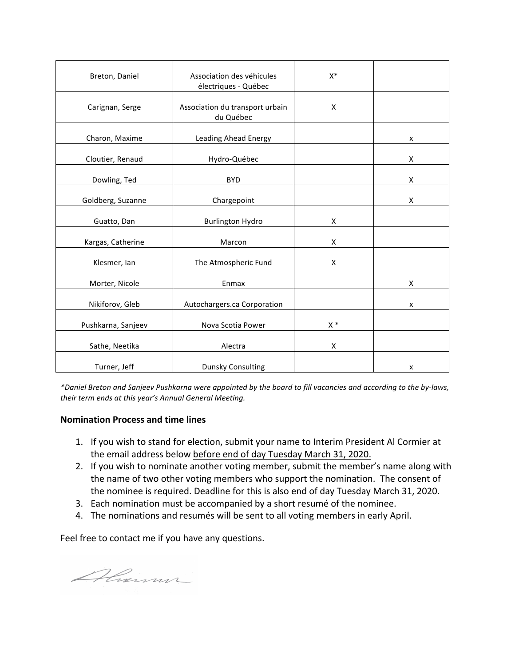| Breton, Daniel     | Association des véhicules<br>électriques - Québec | $X^*$ |   |
|--------------------|---------------------------------------------------|-------|---|
| Carignan, Serge    | Association du transport urbain<br>du Québec      | X     |   |
| Charon, Maxime     | Leading Ahead Energy                              |       | X |
| Cloutier, Renaud   | Hydro-Québec                                      |       | Χ |
| Dowling, Ted       | <b>BYD</b>                                        |       | X |
| Goldberg, Suzanne  | Chargepoint                                       |       | Χ |
| Guatto, Dan        | <b>Burlington Hydro</b>                           | Χ     |   |
| Kargas, Catherine  | Marcon                                            | X     |   |
| Klesmer, Ian       | The Atmospheric Fund                              | X     |   |
| Morter, Nicole     | Enmax                                             |       | X |
| Nikiforov, Gleb    | Autochargers.ca Corporation                       |       | x |
| Pushkarna, Sanjeev | Nova Scotia Power                                 | $X^*$ |   |
| Sathe, Neetika     | Alectra                                           | Χ     |   |
| Turner, Jeff       | <b>Dunsky Consulting</b>                          |       | X |

*\*Daniel Breton and Sanjeev Pushkarna were appointed by the board to fill vacancies and according to the by-laws,*  their term ends at this year's Annual General Meeting.

## **Nomination Process and time lines**

- 1. If you wish to stand for election, submit your name to Interim President Al Cormier at the email address below before end of day Tuesday March 31, 2020.
- 2. If you wish to nominate another voting member, submit the member's name along with the name of two other voting members who support the nomination. The consent of the nominee is required. Deadline for this is also end of day Tuesday March 31, 2020.
- 3. Each nomination must be accompanied by a short resumé of the nominee.
- 4. The nominations and resumés will be sent to all voting members in early April.

Feel free to contact me if you have any questions.

Almm